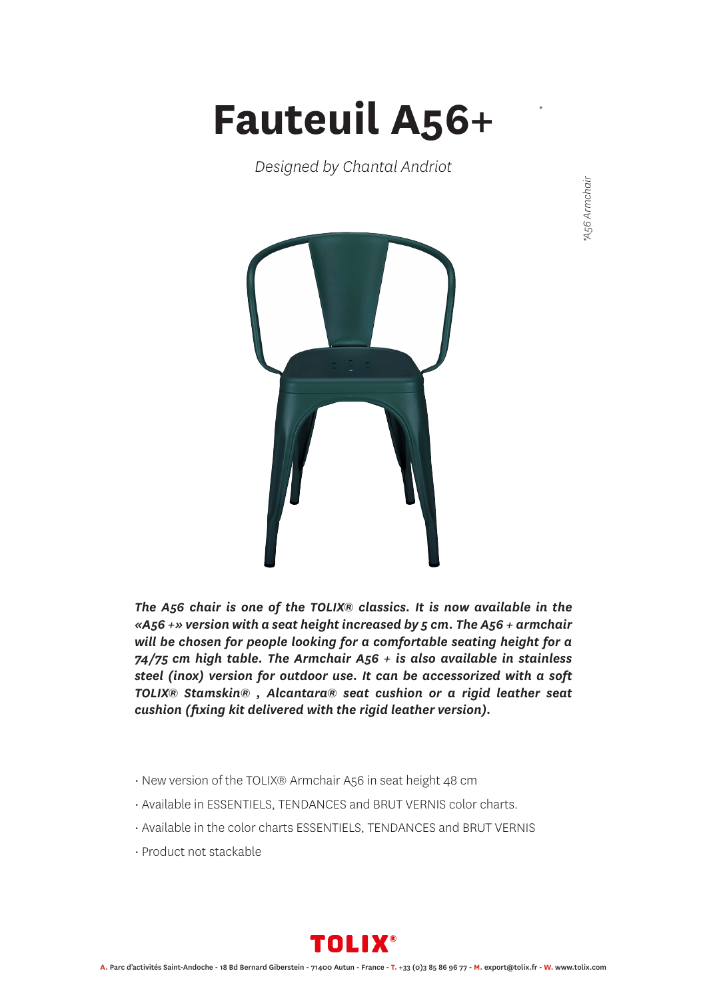## **Fauteuil A56+**

*Designed by Chantal Andriot*

*\**



*The A56 chair is one of the TOLIX® classics. It is now available in the «A56 +» version with a seat height increased by 5 cm. The A56 + armchair will be chosen for people looking for a comfortable seating height for a 74/75 cm high table. The Armchair A56 + is also available in stainless steel (inox) version for outdoor use. It can be accessorized with a soft TOLIX® Stamskin® , Alcantara® seat cushion or a rigid leather seat cushion (fixing kit delivered with the rigid leather version).*

- New version of the TOLIX® Armchair A56 in seat height 48 cm
- Available in ESSENTIELS, TENDANCES and BRUT VERNIS color charts.
- Available in the color charts ESSENTIELS, TENDANCES and BRUT VERNIS
- Product not stackable